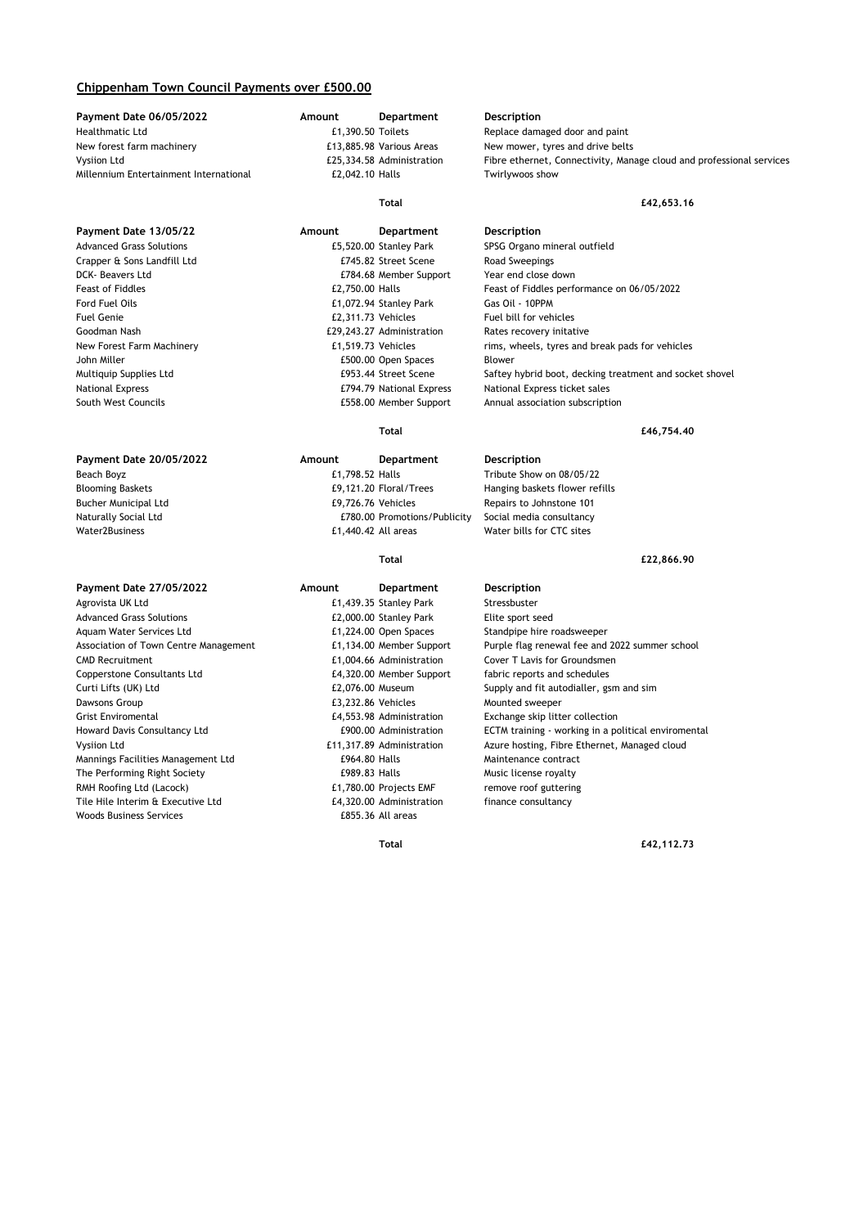## **Chippenham Town Council Payments over £500.00**

**Payment Date 06/05/2022 Amount Department Description** Healthmatic Ltd **E1,390.50** Toilets Replace damaged door and paint Rev mover, tyres and paint Rew mover, tyres and drive belts New forest farm machinery extended the E13,885.98 Various Areas New mower, tyres and drive belts Millennium Entertainment International £2,042.10 Halls Twirlywoos show

Crapper & Sons Landfill Ltd £745.82 Street Scene Road Sweepings South West Councils £558.00 Member Support Annual association subscription

### **Payment Date 27/05/2022 Amount Department Description**

Agrovista UK Ltd **E1,439.35 Stanley Park** Stressbuster Advanced Grass Solutions **EXALL EXALL EXALL EXALL EXACL EXACL**<br>4 Aquam Water Services Ltd **EXALL EXACL EXACL EXACL EXACL EXACL EXACL EXACL EXACL EXACL EXACL EXACL EXACL EXACL** Copperstone Consultants Ltd  $£4,320.00$  Member Support fabric reports and schedules Dawsons Group **E3,232.86 Vehicles** Mounted sweeper Grist Enviromental **EXEL ENGLES** Entitled a series of the series of the series of the series of the series of the series of the series of the series of the series of the series of the series of the series of the series of Mannings Facilities Management Ltd **2006** E964.80 Halls Maintenance contract The Performing Right Society **E989.83 Halls** E989.83 Halls Music license royalty RMH Roofing Ltd (Lacock) **E1,780.00** Projects EMF remove roof guttering Tile Hile Interim & Executive Ltd  $f(4,320.00)$  Administration finance consultancy Woods Business Services **E855.36** All areas

# **Payment Date 13/05/22 Amount Department Description** Advanced Grass Solutions £5,520.00 Stanley Park SPSG Organo mineral outfield

DCK- Beavers Ltd £784.68 Member Support Year end close down Ford Fuel Oils £1,072.94 Stanley Park Gas Oil - 10PPM Fuel Genie £2,311.73 Vehicles Fuel bill for vehicles Goodman Nash **E29,243.27 Administration** Rates recovery initative John Miller **E500.00 Open Spaces** Blower

Vysiion Ltd £25,334.58 Administration Fibre ethernet, Connectivity, Manage cloud and professional services

## **Total £42,653.16**

Feast of Fiddles £2,750.00 Halls Feast of Fiddles performance on 06/05/2022 New Forest Farm Machinery **E1,519.73** Vehicles rims, wheels, tyres and break pads for vehicles Multiquip Supplies Ltd **E953.44 Street Scene** Saftey hybrid boot, decking treatment and socket shovel National Express **E794.79 National Express** National Express ticket sales

### **Total £46,754.40**

## **Payment Date 20/05/2022 Amount Department Description** Beach Boyz £1,798.52 Halls Tribute Show on 08/05/22 Blooming Baskets £9,121.20 Floral/Trees Hanging baskets flower refills Bucher Municipal Ltd £9,726.76 Vehicles Repairs to Johnstone 101 Naturally Social Ltd **EX80.00 Promotions/Publicity** Social media consultancy Water2Business **E1,440.42 All areas** Water bills for CTC sites

### **Total £22,866.90**

£1,224.00 Open Spaces Standpipe hire roadsweeper Association of Town Centre Management E1,134.00 Member Support Purple flag renewal fee and 2022 summer school<br>E1,004.66 Administration Cover T Lavis for Groundsmen Cover T Lavis for Groundsmen Curti Lifts (UK) Ltd £2,076.00 Museum Supply and fit autodialler, gsm and sim Howard Davis Consultancy Ltd **Egyptian ECTM** EQUO.00 Administration ECTM training - working in a political enviromental Vysiion Ltd **ECTM** to the met a political enviromental Vysiion Ltd Vysiion Ltd £11,317.89 Administration Azure hosting, Fibre Ethernet, Managed cloud

**Total £42,112.73**